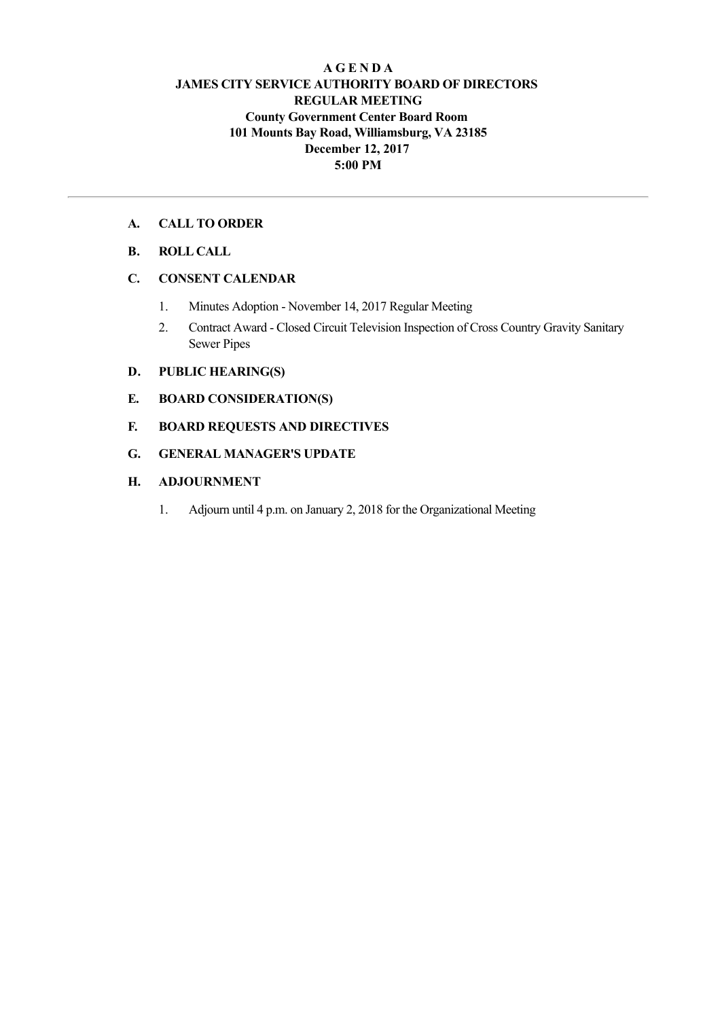# **A G E N D A JAMES CITY SERVICE AUTHORITY BOARD OF DIRECTORS REGULAR MEETING County Government Center Board Room 101 Mounts Bay Road, Williamsburg, VA 23185 December 12, 2017 5:00 PM**

# **A. CALL TO ORDER**

# **B. ROLL CALL**

# **C. CONSENT CALENDAR**

- 1. Minutes Adoption November 14, 2017 Regular Meeting
- 2. Contract Award Closed Circuit Television Inspection of Cross Country Gravity Sanitary Sewer Pipes

# **D. PUBLIC HEARING(S)**

- **E. BOARD CONSIDERATION(S)**
- **F. BOARD REQUESTS AND DIRECTIVES**
- **G. GENERAL MANAGER'S UPDATE**

# **H. ADJOURNMENT**

1. Adjourn until 4 p.m. on January 2, 2018 for the Organizational Meeting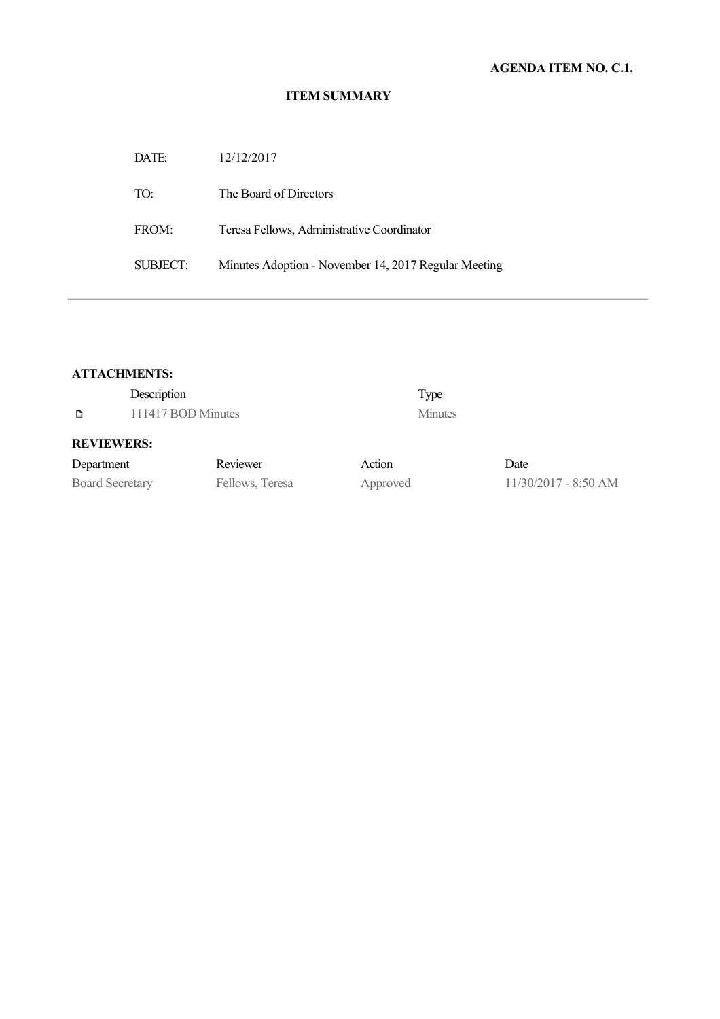# **ITEM SUMMARY**

| DATE:    | 12/12/2017                                           |
|----------|------------------------------------------------------|
| TO:      | The Board of Directors                               |
| FROM:    | Teresa Fellows, Administrative Coordinator           |
| SUBJECT: | Minutes Adoption - November 14, 2017 Regular Meeting |

# **ATTACHMENTS:**

| Description<br>111417 BOD Minutes<br>D |  | Type<br><b>Minutes</b> |          |                        |
|----------------------------------------|--|------------------------|----------|------------------------|
| <b>REVIEWERS:</b>                      |  |                        |          |                        |
| Department                             |  | Reviewer               | Action   | Date                   |
| <b>Board Secretary</b>                 |  | Fellows, Teresa        | Approved | $11/30/2017 - 8:50$ AM |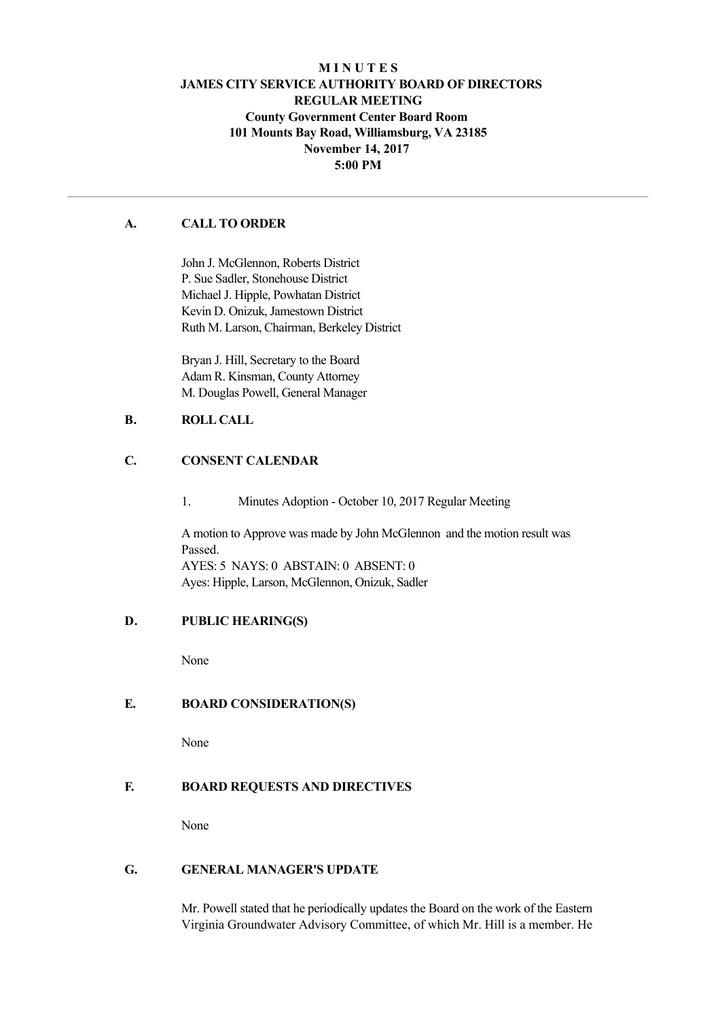# **M I N U T E S JAMES CITY SERVICE AUTHORITY BOARD OF DIRECTORS REGULAR MEETING County Government Center Board Room 101 Mounts Bay Road, Williamsburg, VA 23185 November 14, 2017 5:00 PM**

# **A. CALL TO ORDER**

John J. McGlennon, Roberts District P. Sue Sadler, Stonehouse District Michael J. Hipple, Powhatan District Kevin D. Onizuk, Jamestown District Ruth M. Larson, Chairman, Berkeley District

Bryan J. Hill, Secretary to the Board Adam R. Kinsman, County Attorney M. Douglas Powell, General Manager

# **B. ROLL CALL**

# **C. CONSENT CALENDAR**

1. Minutes Adoption October 10, 2017 Regular Meeting

A motion to Approve was made by John McGlennon and the motion result was Passed. AYES: 5 NAYS: 0 ABSTAIN: 0 ABSENT: 0 Ayes: Hipple, Larson, McGlennon, Onizuk, Sadler

### **D. PUBLIC HEARING(S)**

None

# **E. BOARD CONSIDERATION(S)**

None

### **F. BOARD REQUESTS AND DIRECTIVES**

None

#### **G. GENERAL MANAGER'S UPDATE**

Mr. Powell stated that he periodically updates the Board on the work of the Eastern Virginia Groundwater Advisory Committee, of which Mr. Hill is a member. He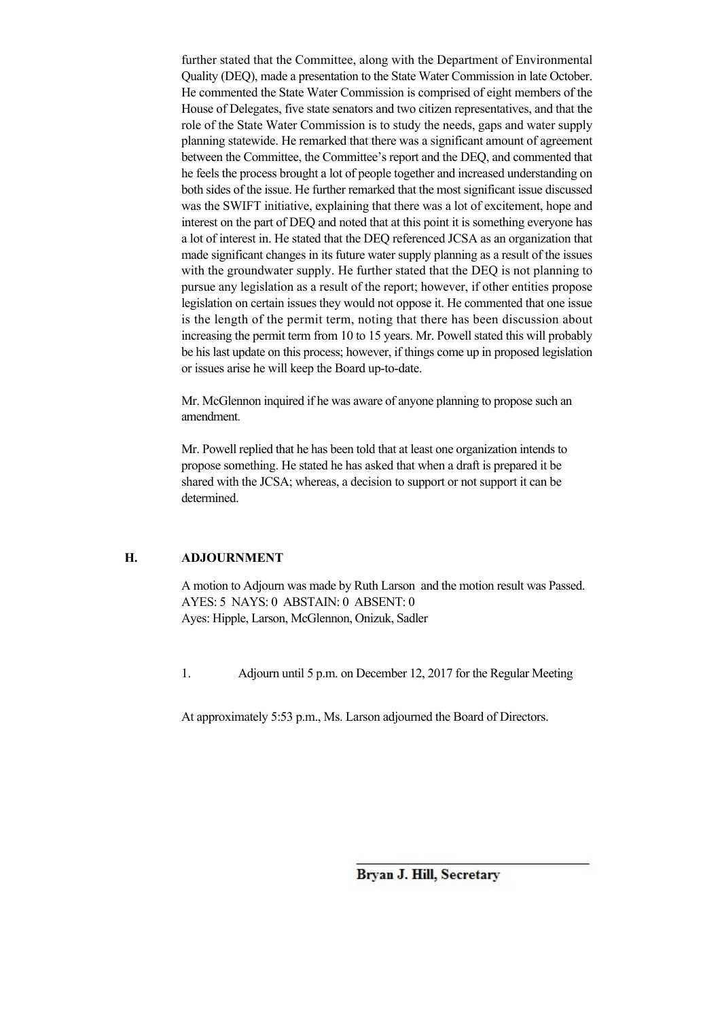further stated that the Committee, along with the Department of Environmental Quality (DEQ), made a presentation to the State Water Commission in late October. He commented the State Water Commission is comprised of eight members of the House of Delegates, five state senators and two citizen representatives, and that the role of the State Water Commission is to study the needs, gaps and water supply planning statewide. He remarked that there was a significant amount of agreement between the Committee, the Committee's report and the DEQ, and commented that he feels the process brought a lot of people together and increased understanding on both sides of the issue. He further remarked that the most significant issue discussed was the SWIFT initiative, explaining that there was a lot of excitement, hope and interest on the part of DEQ and noted that at this point it is something everyone has a lot of interest in. He stated that the DEQ referenced JCSA as an organization that made significant changes in its future water supply planning as a result of the issues with the groundwater supply. He further stated that the DEQ is not planning to pursue any legislation as a result of the report; however, if other entities propose legislation on certain issues they would not oppose it. He commented that one issue is the length of the permit term, noting that there has been discussion about increasing the permit term from 10 to 15 years. Mr. Powell stated this will probably be his last update on this process; however, if things come up in proposed legislation or issues arise he will keep the Board up-to-date.

Mr. McGlennon inquired if he was aware of anyone planning to propose such an amendment.

Mr. Powell replied that he has been told that at least one organization intends to propose something. He stated he has asked that when a draft is prepared it be shared with the JCSA; whereas, a decision to support or not support it can be determined.

#### **H. ADJOURNMENT**

A motion to Adjourn was made by Ruth Larson and the motion result was Passed. AYES: 5 NAYS: 0 ABSTAIN: 0 ABSENT: 0 Ayes: Hipple, Larson, McGlennon, Onizuk, Sadler

1. Adjourn until 5 p.m. on December 12, 2017 for the Regular Meeting

At approximately 5:53 p.m., Ms. Larson adjourned the Board of Directors.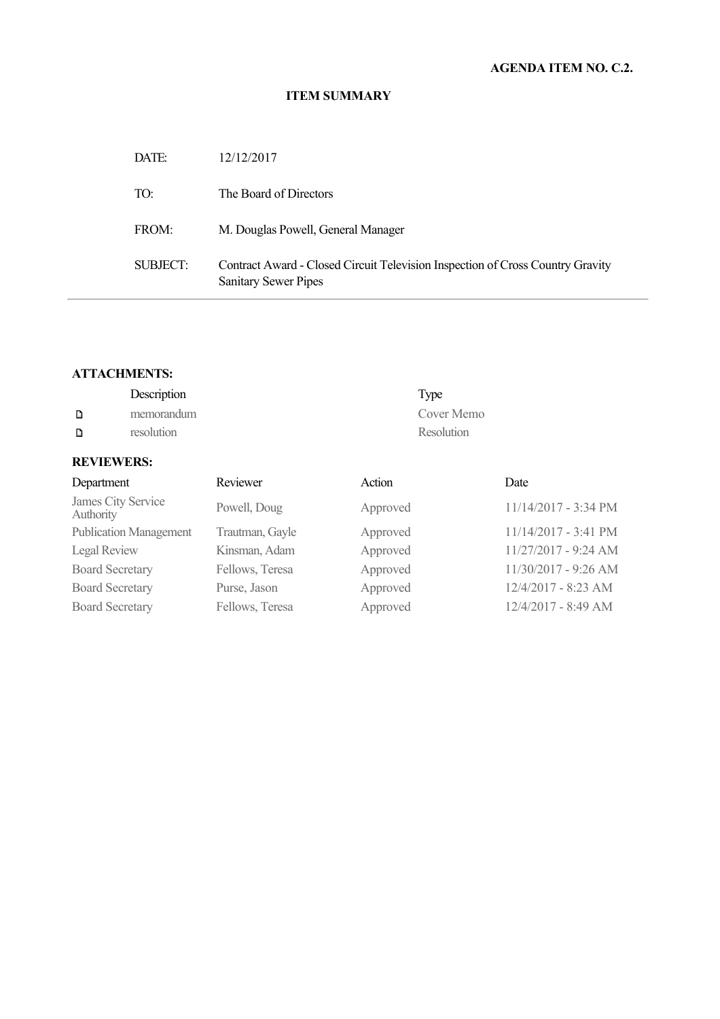### **ITEM SUMMARY**

| DATE:    | 12/12/2017                                                                                                    |
|----------|---------------------------------------------------------------------------------------------------------------|
| TO:      | The Board of Directors                                                                                        |
| FROM:    | M. Douglas Powell, General Manager                                                                            |
| SUBJECT: | Contract Award - Closed Circuit Television Inspection of Cross Country Gravity<br><b>Sanitary Sewer Pipes</b> |

# **ATTACHMENTS:**

|                   | Description | Type       |
|-------------------|-------------|------------|
|                   | memorandum  | Cover Memo |
| D                 | resolution  | Resolution |
| <b>REVIEWERS:</b> |             |            |

| Department                      | Reviewer        | Action   | Date                 |
|---------------------------------|-----------------|----------|----------------------|
| James City Service<br>Authority | Powell, Doug    | Approved | 11/14/2017 - 3:34 PM |
| <b>Publication Management</b>   | Trautman, Gayle | Approved | 11/14/2017 - 3:41 PM |
| Legal Review                    | Kinsman, Adam   | Approved | 11/27/2017 - 9:24 AM |
| <b>Board Secretary</b>          | Fellows, Teresa | Approved | 11/30/2017 - 9:26 AM |
| <b>Board Secretary</b>          | Purse, Jason    | Approved | 12/4/2017 - 8:23 AM  |
| <b>Board Secretary</b>          | Fellows, Teresa | Approved | 12/4/2017 - 8:49 AM  |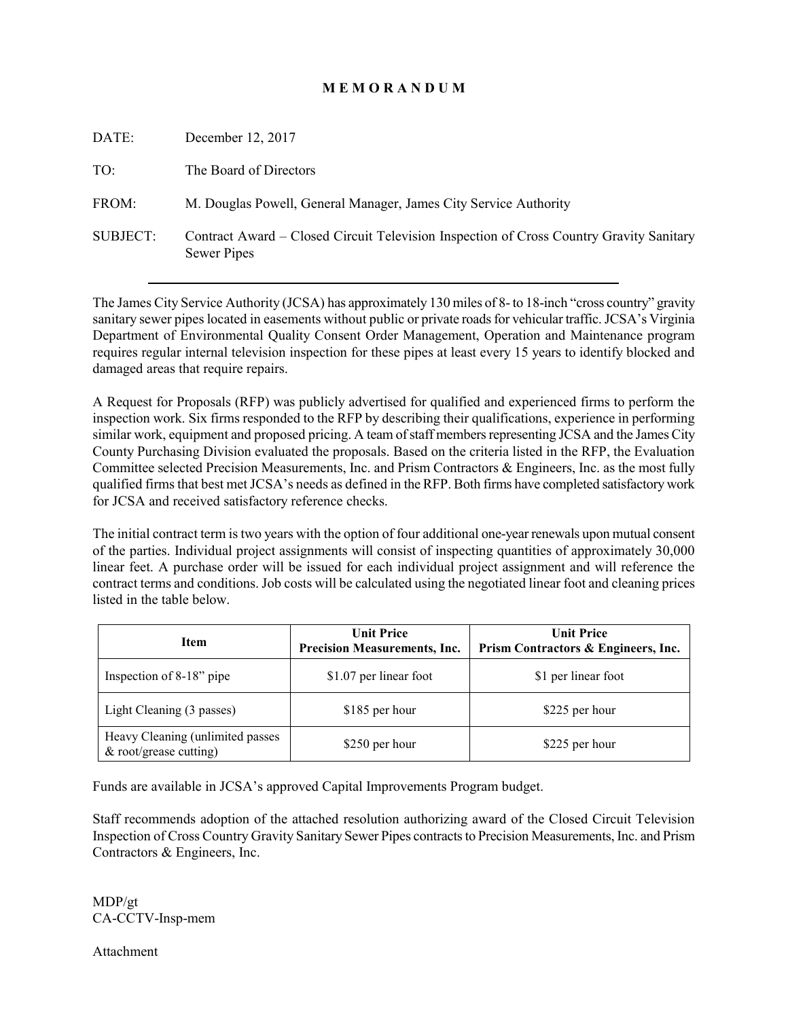# **M E M O R A N D U M**

| DATE:           | December 12, 2017                                                                                      |
|-----------------|--------------------------------------------------------------------------------------------------------|
| TO:             | The Board of Directors                                                                                 |
| FROM:           | M. Douglas Powell, General Manager, James City Service Authority                                       |
| <b>SUBJECT:</b> | Contract Award – Closed Circuit Television Inspection of Cross Country Gravity Sanitary<br>Sewer Pipes |

The James City Service Authority (JCSA) has approximately 130 miles of 8- to 18-inch "cross country" gravity sanitary sewer pipes located in easements without public or private roads for vehicular traffic. JCSA's Virginia Department of Environmental Quality Consent Order Management, Operation and Maintenance program requires regular internal television inspection for these pipes at least every 15 years to identify blocked and damaged areas that require repairs.

A Request for Proposals (RFP) was publicly advertised for qualified and experienced firms to perform the inspection work. Six firms responded to the RFP by describing their qualifications, experience in performing similar work, equipment and proposed pricing. A team of staff members representing JCSA and the James City County Purchasing Division evaluated the proposals. Based on the criteria listed in the RFP, the Evaluation Committee selected Precision Measurements, Inc. and Prism Contractors & Engineers, Inc. as the most fully qualified firms that best met JCSA's needs as defined in the RFP. Both firms have completed satisfactory work for JCSA and received satisfactory reference checks.

The initial contract term is two years with the option of four additional one-year renewals upon mutual consent of the parties. Individual project assignments will consist of inspecting quantities of approximately 30,000 linear feet. A purchase order will be issued for each individual project assignment and will reference the contract terms and conditions. Job costs will be calculated using the negotiated linear foot and cleaning prices listed in the table below.

| Item                                                       | <b>Unit Price</b><br><b>Precision Measurements, Inc.</b> | <b>Unit Price</b><br>Prism Contractors & Engineers, Inc. |  |
|------------------------------------------------------------|----------------------------------------------------------|----------------------------------------------------------|--|
| Inspection of 8-18" pipe                                   | \$1.07 per linear foot                                   | \$1 per linear foot                                      |  |
| Light Cleaning (3 passes)                                  | \$185 per hour                                           | \$225 per hour                                           |  |
| Heavy Cleaning (unlimited passes<br>& root/grease cutting) | \$250 per hour                                           | \$225 per hour                                           |  |

Funds are available in JCSA's approved Capital Improvements Program budget.

Staff recommends adoption of the attached resolution authorizing award of the Closed Circuit Television Inspection of Cross Country Gravity Sanitary Sewer Pipes contracts to Precision Measurements, Inc. and Prism Contractors & Engineers, Inc.

MDP/gt CA-CCTV-Insp-mem

Attachment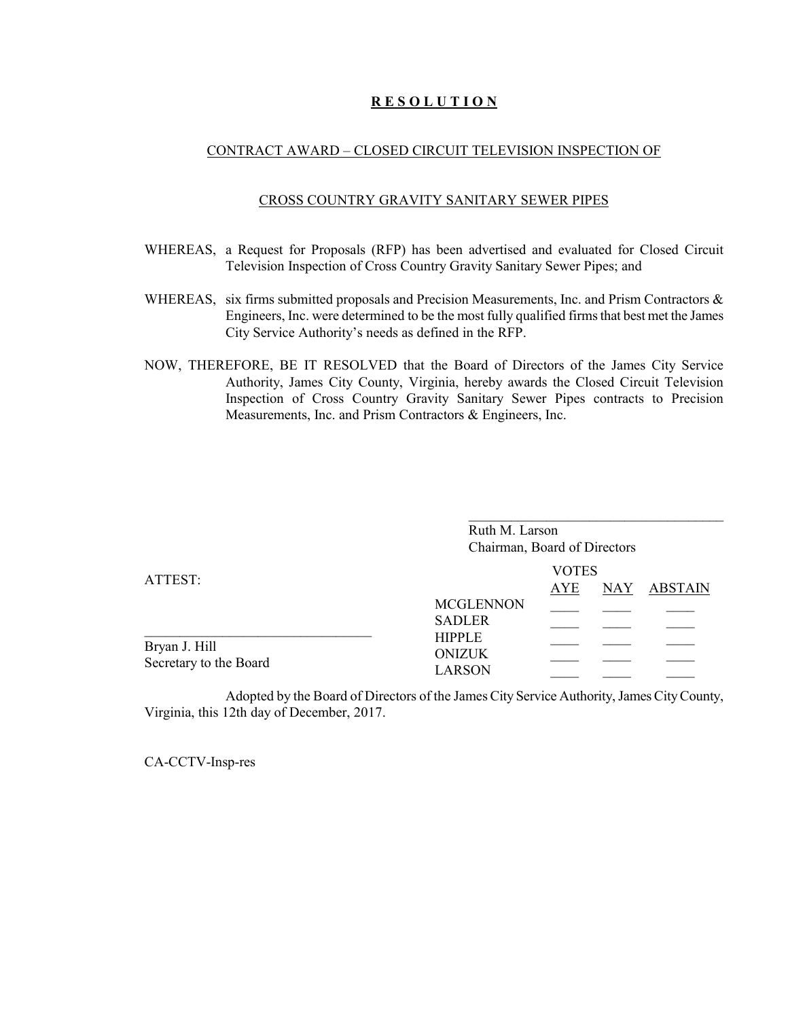## **R E S O L U T I O N**

#### CONTRACT AWARD – CLOSED CIRCUIT TELEVISION INSPECTION OF

#### CROSS COUNTRY GRAVITY SANITARY SEWER PIPES

- WHEREAS, a Request for Proposals (RFP) has been advertised and evaluated for Closed Circuit Television Inspection of Cross Country Gravity Sanitary Sewer Pipes; and
- WHEREAS, six firms submitted proposals and Precision Measurements, Inc. and Prism Contractors & Engineers, Inc. were determined to be the most fully qualified firms that best met the James City Service Authority's needs as defined in the RFP.
- NOW, THEREFORE, BE IT RESOLVED that the Board of Directors of the James City Service Authority, James City County, Virginia, hereby awards the Closed Circuit Television Inspection of Cross Country Gravity Sanitary Sewer Pipes contracts to Precision Measurements, Inc. and Prism Contractors & Engineers, Inc.

|                                         | Ruth M. Larson<br>Chairman, Board of Directors  |                            |             |
|-----------------------------------------|-------------------------------------------------|----------------------------|-------------|
| ATTEST:                                 | <b>MCGLENNON</b><br><b>SADLER</b>               | <b>VOTES</b><br><b>AYE</b> | NAY ABSTAIN |
| Bryan J. Hill<br>Secretary to the Board | <b>HIPPLE</b><br><b>ONIZUK</b><br><b>LARSON</b> |                            |             |

Adopted by the Board of Directors of the James City Service Authority, James City County, Virginia, this 12th day of December, 2017.

CA-CCTV-Insp-res